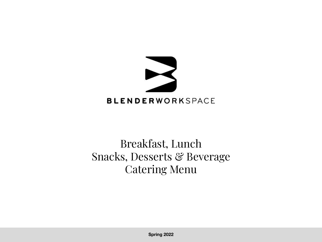

### Breakfast, Lunch Snacks, Desserts & Beverage Catering Menu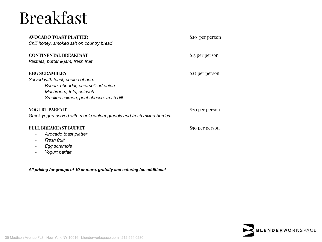# Breakfast

| AVOCADO TOAST PLATTER<br>Chili honey, smoked salt on country bread                                                                                                                              | \$20 per person |
|-------------------------------------------------------------------------------------------------------------------------------------------------------------------------------------------------|-----------------|
| <b>CONTINENTAL BREAKFAST</b><br>Pastries, butter & jam, fresh fruit                                                                                                                             | \$15 per person |
| <b>EGG SCRAMBLES</b><br>Served with toast, choice of one:<br>Bacon, cheddar, caramelized onion<br>Mushroom, feta, spinach<br>$\overline{\phantom{a}}$<br>Smoked salmon, goat cheese, fresh dill | \$22 per person |
| <b>YOGURT PARFAIT</b><br>Greek yogurt served with maple walnut granola and fresh mixed berries.                                                                                                 | \$20 per person |
| <b>FULL BREAKFAST BUFFET</b><br>Avocado toast platter<br>-<br>Fresh fruit<br>Egg scramble<br>Yogurt parfait                                                                                     | \$50 per person |

*All pricing for groups of 10 or more, gratuity and catering fee additional.*

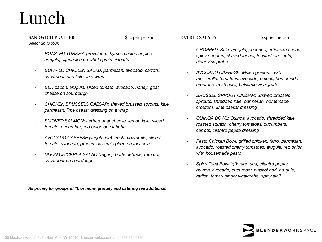# Lunch

#### **SANDWICH PLATTER** \$22 per person

*Select up to four:* 

- *- ROASTED TURKEY: provolone, thyme-roasted apples, arugula, dijonnaise on whole grain ciabatta*
- *- BUFFALO CHICKEN SALAD: parmesan, avocado, carrots, cucumber, and kale on a wrap*
- *- BLT: bacon, arugula, sliced tomato, avocado, honey, goat cheese on sourdough*
- *- CHICKEN BRUSSELS CAESAR: shaved brussels sprouts, kale, parmesan, lime caesar dressing on a wrap*
- *- SMOKED SALMON: herbed goat cheese, lemon kale, sliced tomato, cucumber, red onion on ciabatta*
- *- AVOCADO CAPRESE (vegetarian): fresh mozzarella, sliced tomato, avocado, greens, balsamic glaze on focaccia*
- *- DIJON CHICKPEA SALAD (vegan): butter lettuce, tomato, cucumber on sourdough*

**ENTREE SALADS** \$24 per person

- *- CHOPPED: Kale, arugula, pecorino, artichoke hearts, spicy peppers, shaved fennel, toasted pine nuts, cider vinaigrette*
- *- AVOCADO CAPRESE: Mixed greens, fresh mozzarella, tomatoes, avocado, onions, homemade croutons, fresh basil, balsamic vinaigrette*
- *- BRUSSEL SPROUT CAESAR: Shaved brussels sprouts, shredded kale, parmesan, homemade croutons, lime caesar dressing*
- *- QUINOA BOWL: Quinoa, avocado, shredded kale, roasted squash, cherry tomatoes, cucumbers, carrots, cilantro pepita dressing*
- *- Pesto Chicken Bowl: grilled chicken, farro, parmesan, avocado, roasted cherry tomatoes, arugula, red onion with housemade pesto*
- *- Spicy Tuna Bowl (gf): rare tuna, cilantro pepita quinoa, avocado, cucumber, wasabi nori, arugula, radish, tamari ginger vinaigrette, spicy aioli*



*All pricing for groups of 10 or more, gratuity and catering fee additional.*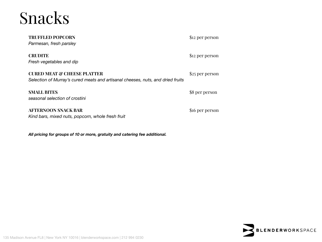## Snacks

| <b>TRUFFLED POPCORN</b><br>Parmesan, fresh parsley                                                                        | \$12 per person |
|---------------------------------------------------------------------------------------------------------------------------|-----------------|
| <b>CRUDITE</b><br>Fresh vegetables and dip                                                                                | \$12 per person |
| <b>CURED MEAT &amp; CHEESE PLATTER</b><br>Selection of Murray's cured meats and artisanal cheeses, nuts, and dried fruits | \$25 per person |
| <b>SMALL BITES</b><br>seasonal selection of crostini                                                                      | \$8 per person  |
| AFTERNOON SNACK BAR                                                                                                       | \$16 per person |

*Kind bars, mixed nuts, popcorn, whole fresh fruit*

*All pricing for groups of 10 or more, gratuity and catering fee additional.*



135 Madison Avenue FL8 | New York NY 10016 | blenderworkspace.com | 212 994 0230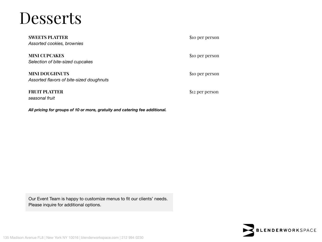### **Desserts**

**SWEETS PLATTER** \$10 per person *Assorted cookies, brownies*

**MINI CUPCAKES** \$10 per person *Selection of bite-sized cupcakes*

**MINI DOUGHNUTS** \$10 per person *Assorted flavors of bite-sized doughnuts* 

**FRUIT PLATTER** \$12 per person *seasonal fruit*

Our Event Team is happy to customize menus to fit our clients' needs. Please inquire for additional options.

*All pricing for groups of 10 or more, gratuity and catering fee additional.*

**BLENDERWORKSPACE**